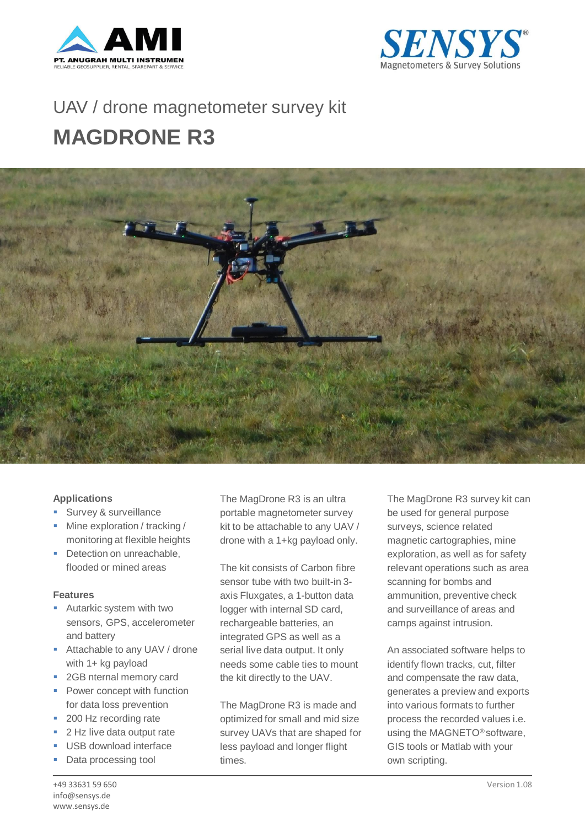



## UAV / drone magnetometer survey kit **MAGDRONE R3**



## **Applications**

- **Survey & surveillance**
- **Mine exploration / tracking /** monitoring at flexible heights
- Detection on unreachable, flooded or mined areas

## **Features**

- **Autarkic system with two** sensors, GPS, accelerometer and battery
- **Attachable to any UAV / drone** with 1+ kg payload
- 2GB nternal memory card
- Power concept with function for data loss prevention
- 200 Hz recording rate
- 2 Hz live data output rate
- USB download interface
- Data processing tool

The MagDrone R3 is an ultra portable magnetometer survey kit to be attachable to any UAV / drone with a 1+kg payload only.

The kit consists of Carbon fibre sensor tube with two built-in 3 axis Fluxgates, a 1-button data logger with internal SD card, rechargeable batteries, an integrated GPS as well as a serial live data output. It only needs some cable ties to mount the kit directly to the UAV.

The MagDrone R3 is made and optimized for small and mid size survey UAVs that are shaped for less payload and longer flight times.

The MagDrone R3 survey kit can be used for general purpose surveys, science related magnetic cartographies, mine exploration, as well as for safety relevant operations such as area scanning for bombs and ammunition, preventive check and surveillance of areas and camps against intrusion.

An associated software helps to identify flown tracks, cut, filter and compensate the raw data, generates a preview and exports into various formats to further process the recorded values i.e. using the MAGNETO® software, GIS tools or Matlab with your own scripting.